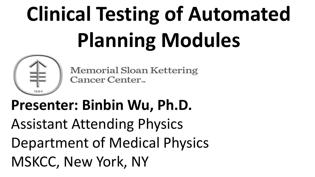# **Clinical Testing of Automated Planning Modules**



**Memorial Sloan Kettering** Cancer Center...

# **Presenter: Binbin Wu, Ph.D.** Assistant Attending Physics Department of Medical Physics MSKCC, New York, NY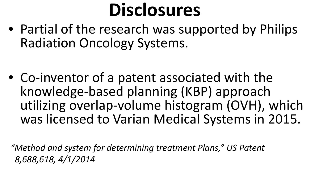# **Disclosures**

• Partial of the research was supported by Philips Radiation Oncology Systems.

• Co-inventor of a patent associated with the knowledge-based planning (KBP) approach utilizing overlap-volume histogram (OVH), which was licensed to Varian Medical Systems in 2015.

*"Method and system for determining treatment Plans," US Patent 8,688,618, 4/1/2014*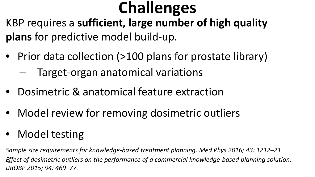## **Challenges**

KBP requires a **sufficient, large number of high quality plans** for predictive model build-up.

- Prior data collection (>100 plans for prostate library) – Target-organ anatomical variations
- Dosimetric & anatomical feature extraction
- Model review for removing dosimetric outliers
- Model testing

*Sample size requirements for knowledge-based treatment planning. Med Phys 2016; 43: 1212–21 Effect of dosimetric outliers on the performance of a commercial knowledge-based planning solution. IJROBP 2015; 94: 469–77.*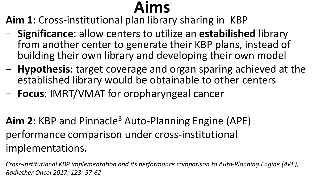## **Aims**

**Aim 1**: Cross-institutional plan library sharing in KBP

- **Significance**: allow centers to utilize an **estabilished** library from another center to generate their KBP plans, instead of building their own library and developing their own model
- **Hypothesis**: target coverage and organ sparing achieved at the established library would be obtainable to other centers
- **Focus**: IMRT/VMAT for oropharyngeal cancer

**Aim 2**: KBP and Pinnacle3 Auto-Planning Engine (APE) performance comparison under cross-institutional implementations.

*Cross-institutional KBP implementation and its performance comparison to Auto-Planning Engine (APE), Radiother Oncol 2017; 123: 57-62*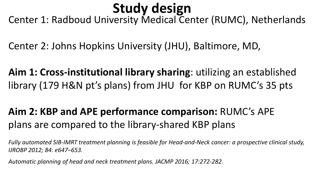### **Study design**

Center 1: Radboud University Medical Center (RUMC), Netherlands

Center 2: Johns Hopkins University (JHU), Baltimore, MD,

**Aim 1: Cross-institutional library sharing**: utilizing an established library (179 H&N pt's plans) from JHU for KBP on RUMC's 35 pts

#### **Aim 2: KBP and APE performance comparison:** RUMC's APE plans are compared to the library-shared KBP plans

*Fully automated SIB-IMRT treatment planning is feasible for Head-and-Neck cancer: a prospective clinical study, IJROBP 2012; 84: e647–653.*

*Automatic planning of head and neck treatment plans. JACMP 2016; 17:272-282.*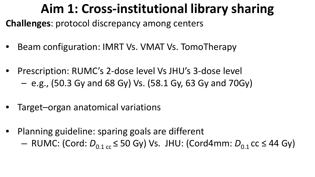#### **Aim 1: Cross-institutional library sharing**

**Challenges**: protocol discrepancy among centers

- Beam configuration: IMRT Vs. VMAT Vs. TomoTherapy
- Prescription: RUMC's 2-dose level Vs JHU's 3-dose level
	- e.g., (50.3 Gy and 68 Gy) Vs. (58.1 Gy, 63 Gy and 70Gy)
- Target–organ anatomical variations
- Planning guideline: sparing goals are different
	- $-$  RUMC: (Cord:  $D_{0.1 \text{ cc}}$  ≤ 50 Gy) Vs. JHU: (Cord4mm:  $D_{0.1}$  cc ≤ 44 Gy)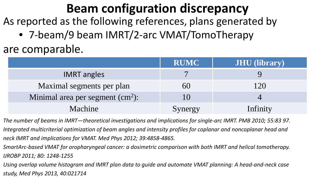#### **Beam configuration discrepancy**

As reported as the following references, plans generated by

• 7-beam/9 beam IMRT/2-arc VMAT/TomoTherapy

are comparable.

|                                    | <b>RUMC</b> | <b>JHU</b> (library) |
|------------------------------------|-------------|----------------------|
| <b>IMRT</b> angles                 |             |                      |
| Maximal segments per plan          | 60          | 20                   |
| Minimal area per segment $(cm2)$ : | 10          |                      |
| Machine                            | Synergy     | Infinity             |

*The number of beams in IMRT—theoretical investigations and implications for single-arc IMRT. PMB 2010; 55:83 97. Integrated multicriterial optimization of beam angles and intensity profiles for coplanar and noncoplanar head and neck IMRT and implications for VMAT. Med Phys 2012; 39:4858-4865.*

*SmartArc-based VMAT for oropharyngeal cancer: a dosimetric comparison with both IMRT and helical tomotherapy. IJROBP 2011; 80: 1248-1255*

*Using overlap volume histogram and IMRT plan data to guide and automate VMAT planning: A head-and-neck case study, Med Phys 2013, 40:021714*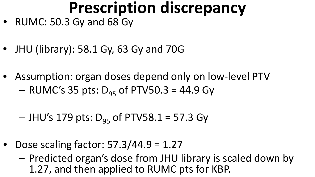### **Prescription discrepancy**

- RUMC: 50.3 Gy and 68 Gy
- JHU (library): 58.1 Gy, 63 Gy and 70G
- Assumption: organ doses depend only on low-level PTV  $-$  RUMC's 35 pts:  $D_{95}$  of PTV50.3 = 44.9 Gy

 $-$  JHU's 179 pts:  $D_{95}$  of PTV58.1 = 57.3 Gy

- Dose scaling factor:  $57.3/44.9 = 1.27$ 
	- Predicted organ's dose from JHU library is scaled down by 1.27, and then applied to RUMC pts for KBP.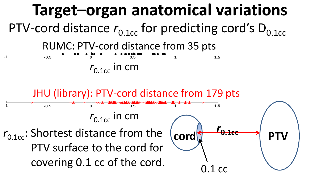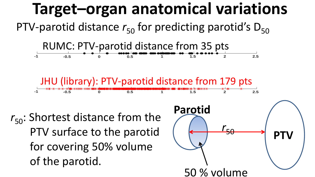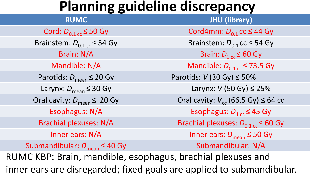#### **Planning guideline discrepancy**

| <b>RUMC</b>                                                           | <b>JHU (library)</b>                                       |  |  |  |  |
|-----------------------------------------------------------------------|------------------------------------------------------------|--|--|--|--|
| Cord: $D_{0.1 \text{ cc}}$ $\leq$ 50 Gy                               | Cord4mm: $D_{0,1}$ cc $\leq$ 44 Gy                         |  |  |  |  |
| Brainstem: $D_{0.1 \text{ cc}} \leq 54 \text{ Gy}$                    | Brainstem: $D_{0,1}$ cc $\leq$ 54 Gy                       |  |  |  |  |
| Brain: N/A                                                            | Brain: $D_{1 \text{ cc}}$ $\leq 60 \text{ Gy}$             |  |  |  |  |
| Mandible: N/A                                                         | Mandible: $D_{0.1 \text{ cc}}$ $\leq$ 73.5 Gy              |  |  |  |  |
| Parotids: $D_{\text{mean}} \leq 20 \text{ Gy}$                        | Parotids: $V$ (30 Gy) $\leq$ 50%                           |  |  |  |  |
| Larynx: $D_{\text{mean}} \leq 30 \text{ Gy}$                          | Larynx: $V$ (50 Gy) $\leq$ 25%                             |  |  |  |  |
| Oral cavity: $D_{\text{mean}} \leq 20 \text{ Gy}$                     | Oral cavity: $V_{cc}$ (66.5 Gy) $\leq$ 64 cc               |  |  |  |  |
| Esophagus: N/A                                                        | Esophagus: $D_{1 \text{ cc}} \leq 45 \text{ Gy}$           |  |  |  |  |
| <b>Brachial plexuses: N/A</b>                                         | Brachial plexuses: $D_{0.1 \text{ cc}} \leq 60 \text{ Gy}$ |  |  |  |  |
| Inner ears: N/A                                                       | Inner ears: $D_{\text{mean}} \leq 50 \text{ Gy}$           |  |  |  |  |
| Submandibular: $D_{\text{mean}} \leq 40 \text{ Gy}$                   | Submandibular: N/A                                         |  |  |  |  |
| RUMC KBP: Brain, mandible, esophagus, brachial plexuses and           |                                                            |  |  |  |  |
| inner ears are disregarded; fixed goals are applied to submandibular. |                                                            |  |  |  |  |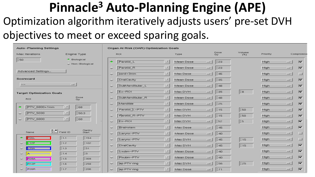#### **Pinnacle3 Auto-Planning Engine (APE)**  Optimization algorithm iteratively adjusts users' pre-set DVH objectives to meet or exceed sparing goals.

| <b>Auto-Planning Settings</b>                                                   | <b>Organ At Risk (OAR) Optimization Goals</b> |                                       |                       |               |          |                                     |  |
|---------------------------------------------------------------------------------|-----------------------------------------------|---------------------------------------|-----------------------|---------------|----------|-------------------------------------|--|
| Max Iterations<br>Engine Type                                                   | <b>ROI</b>                                    | Type                                  | Dose<br>Gy            | Volume<br>(%) | Priority | Compromise                          |  |
| 150 <br>+ Biological<br>Mon-Biological                                          | Parotid L<br>◇                                | $\mathcal{A}$<br>Mean Dose            | 123<br>12.8           |               | High     | $\overline{\mathbf{v}}$<br>$-1$     |  |
|                                                                                 | Parotid R<br>$\sim$                           | $\overline{\mathcal{X}}$<br>Mean Dose | $\sqrt{23}$<br>sind . |               | High     | $\overline{\mathbf{v}}$<br>man of   |  |
| Advanced Settings                                                               | $cord + 3mm$<br>$\sim$                        | <b>SOF</b><br>Max Dose                | 145<br>and ?          |               | High     | 画<br>$-1$                           |  |
| <b>Scorecard</b>                                                                | OralCavity<br>$\overline{\phantom{a}}$        | 匕<br>Mean Dose                        | 135<br>and .          |               | High     | $\overline{\mathbf{v}}$<br>$-1$     |  |
| $\frac{1}{2}$<br>$-1$                                                           | SubMandibular L<br>$\ddot{}$                  | $\overline{\mathcal{L}}$<br>Mean Dose | [48]<br>ind.          |               | High     | $\blacktriangleright$<br>$-1$       |  |
| <b>Target Optimization Goals</b>                                                | Ex-ROI<br>$\checkmark$                        | Max DVH<br>×                          | 135<br>Jul 2          | Is            | High     | $\blacktriangledown$<br>$-1$        |  |
| Dose<br>ROI<br>Gv                                                               | SubMandibular_R<br>$\tilde{\phantom{a}}$      | 还<br>Mean Dose                        | [48]<br><b>SALE</b>   |               | High     | $\overline{\mathbf{v}}$<br>$-1$     |  |
|                                                                                 | Mandible<br>$\sim$                            | Mean Dose<br>×                        | 125<br>and.           |               | High     | $\overline{\mathbf{v}}$<br>$-1$     |  |
| PTV 6800+1mm<br>[68]<br>$\mathcal{R}$<br>÷                                      | Parotid [L-PTV<br>↩                           | $\mathcal{L}$<br>Max DVH              | $\vert$ 15<br>mid.    | [50           | High     | $\overline{\mathbf{v}}$<br>$-1$     |  |
| <b>PTV 5030</b><br>$\overline{\mathcal{M}}$<br>50.3<br>≈                        | Parotid R-PTV<br>$\sim$                       | Max DVH<br>×                          | 115<br>1414           | [50]          | High     | $\overline{\mathbf{v}}$<br>$-1$     |  |
| [68]<br><b>PTV_6800</b><br>$\overline{\mathcal{A}}$<br>$\overline{\phantom{a}}$ | Ex-ROI<br>$\overline{\phantom{a}}$            | Max DVH<br>S.                         | 152<br>m              | 15            | High     | $\overline{\mathbf{v}}$<br>$\equiv$ |  |
| Gantry                                                                          | Brainstem<br>$\overline{\phantom{a}}$         | ×<br>Max Dose                         | 145<br>$-1$           |               | High     | $\overline{\mathbf{v}}$<br>$-1$     |  |
| <b>B-B</b><br><i>H<sub>22</sub></i><br>Field ID<br>Name<br><b>Start</b>         | Larynx-PTV<br>≈                               | 凶<br>Mean Dose                        | [40]<br>$rac{1}{2}$   |               | High     | $-1$<br>m                           |  |
| ∽<br>11.1<br>1154<br><b>P26L</b>                                                | Larynx-PTV<br>$\overline{\phantom{a}}$        | Max DVH<br>M                          | 145<br>$-1$           | 15            | High     | $=$<br>m                            |  |
| 11.2<br>L12P<br>102<br>$\ddot{\phantom{1}}$                                     | OralCavity<br>$\rightarrow$                   | $\overline{\mathbf{X}}$<br>Max DVH    | 45<br>$-$             | 115           | High     | 罓<br>$-1$                           |  |
| 51<br>1.3<br>$-39A$<br>$\sim$                                                   | Lsubm-PTV<br>$\sim$                           | Mean Dose<br>凶                        | $\sqrt{40}$<br>$-1$   |               | High     | $\triangleright$<br>$-1$            |  |
| ĪΟ<br>11.4<br>A<br>$\overline{\phantom{a}}$<br>1.5<br>1309<br><b>R39A</b>       | Rsubm-PTV<br>$\checkmark$                     | ×<br>Mean Dose                        | 140<br>$-1$           |               | High     | R<br>$-1$                           |  |
| $\sim$<br><b>R12P</b><br>1.6<br>1258<br>$\sim$                                  | ap PTV ring<br>$\widetilde{\phantom{a}}$      | Æ<br>Max DVH                          | [56]<br>$-1$          | 125           | High     | 罓<br>$-1$                           |  |
| 1.7<br><b>P26R</b><br>206<br>$\sim$                                             | ap PTV ring<br>$\sim$                         | Max Dose                              | $\frac{1}{2}$<br>$=$  |               | High     | $\blacktriangleright$<br>$-1$       |  |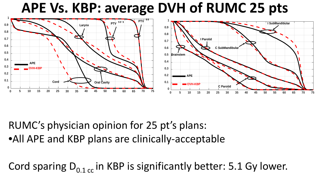#### **APE Vs. KBP: average DVH of RUMC 25 pts**



RUMC's physician opinion for 25 pt's plans: •All APE and KBP plans are clinically-acceptable

Cord sparing  $D_{0.1 \text{ cc}}$  in KBP is significantly better: 5.1 Gy lower.